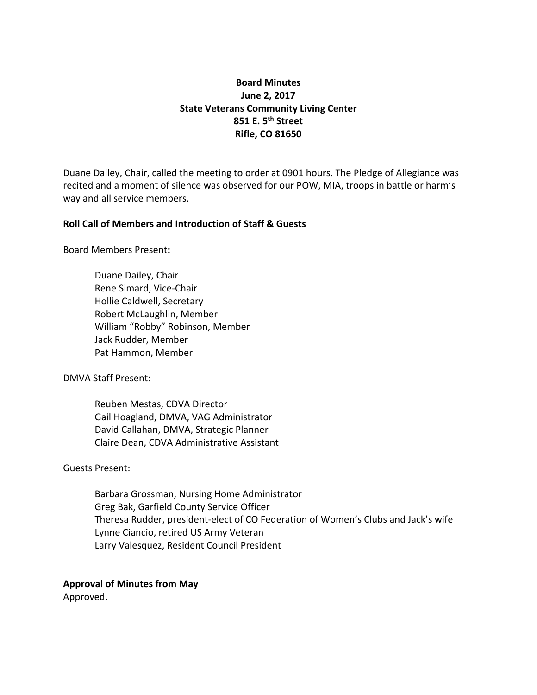# **Board Minutes June 2, 2017 State Veterans Community Living Center 851 E. 5th Street Rifle, CO 81650**

Duane Dailey, Chair, called the meeting to order at 0901 hours. The Pledge of Allegiance was recited and a moment of silence was observed for our POW, MIA, troops in battle or harm's way and all service members.

# **Roll Call of Members and Introduction of Staff & Guests**

Board Members Present**:**

Duane Dailey, Chair Rene Simard, Vice-Chair Hollie Caldwell, Secretary Robert McLaughlin, Member William "Robby" Robinson, Member Jack Rudder, Member Pat Hammon, Member

DMVA Staff Present:

Reuben Mestas, CDVA Director Gail Hoagland, DMVA, VAG Administrator David Callahan, DMVA, Strategic Planner Claire Dean, CDVA Administrative Assistant

Guests Present:

Barbara Grossman, Nursing Home Administrator Greg Bak, Garfield County Service Officer Theresa Rudder, president-elect of CO Federation of Women's Clubs and Jack's wife Lynne Ciancio, retired US Army Veteran Larry Valesquez, Resident Council President

# **Approval of Minutes from May**

Approved.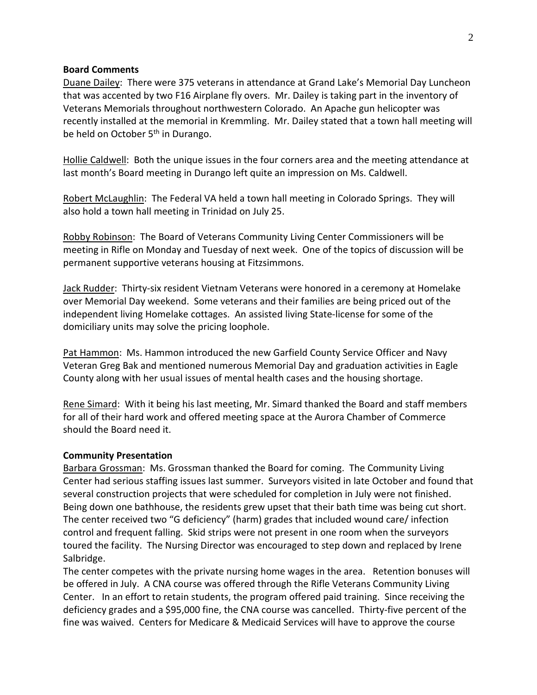### **Board Comments**

Duane Dailey: There were 375 veterans in attendance at Grand Lake's Memorial Day Luncheon that was accented by two F16 Airplane fly overs. Mr. Dailey is taking part in the inventory of Veterans Memorials throughout northwestern Colorado. An Apache gun helicopter was recently installed at the memorial in Kremmling. Mr. Dailey stated that a town hall meeting will be held on October 5<sup>th</sup> in Durango.

Hollie Caldwell: Both the unique issues in the four corners area and the meeting attendance at last month's Board meeting in Durango left quite an impression on Ms. Caldwell.

Robert McLaughlin: The Federal VA held a town hall meeting in Colorado Springs. They will also hold a town hall meeting in Trinidad on July 25.

Robby Robinson: The Board of Veterans Community Living Center Commissioners will be meeting in Rifle on Monday and Tuesday of next week. One of the topics of discussion will be permanent supportive veterans housing at Fitzsimmons.

Jack Rudder: Thirty-six resident Vietnam Veterans were honored in a ceremony at Homelake over Memorial Day weekend. Some veterans and their families are being priced out of the independent living Homelake cottages. An assisted living State-license for some of the domiciliary units may solve the pricing loophole.

Pat Hammon: Ms. Hammon introduced the new Garfield County Service Officer and Navy Veteran Greg Bak and mentioned numerous Memorial Day and graduation activities in Eagle County along with her usual issues of mental health cases and the housing shortage.

Rene Simard: With it being his last meeting, Mr. Simard thanked the Board and staff members for all of their hard work and offered meeting space at the Aurora Chamber of Commerce should the Board need it.

#### **Community Presentation**

Barbara Grossman: Ms. Grossman thanked the Board for coming. The Community Living Center had serious staffing issues last summer. Surveyors visited in late October and found that several construction projects that were scheduled for completion in July were not finished. Being down one bathhouse, the residents grew upset that their bath time was being cut short. The center received two "G deficiency" (harm) grades that included wound care/ infection control and frequent falling. Skid strips were not present in one room when the surveyors toured the facility. The Nursing Director was encouraged to step down and replaced by Irene Salbridge.

The center competes with the private nursing home wages in the area. Retention bonuses will be offered in July. A CNA course was offered through the Rifle Veterans Community Living Center. In an effort to retain students, the program offered paid training. Since receiving the deficiency grades and a \$95,000 fine, the CNA course was cancelled. Thirty-five percent of the fine was waived. Centers for Medicare & Medicaid Services will have to approve the course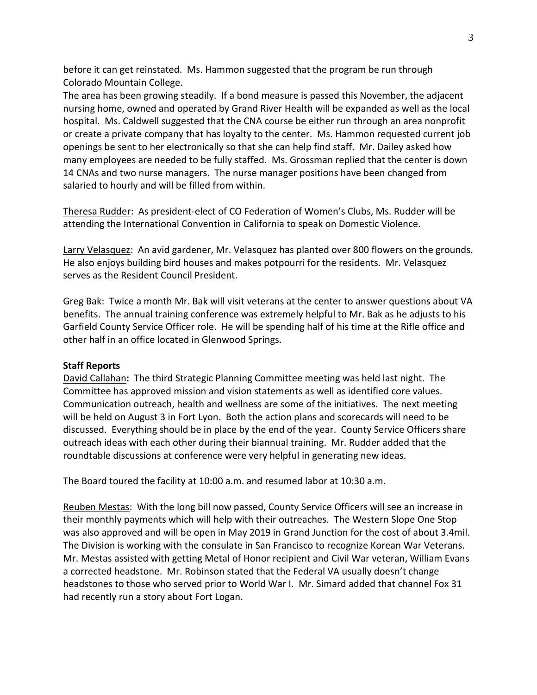before it can get reinstated. Ms. Hammon suggested that the program be run through Colorado Mountain College.

The area has been growing steadily. If a bond measure is passed this November, the adjacent nursing home, owned and operated by Grand River Health will be expanded as well as the local hospital. Ms. Caldwell suggested that the CNA course be either run through an area nonprofit or create a private company that has loyalty to the center. Ms. Hammon requested current job openings be sent to her electronically so that she can help find staff. Mr. Dailey asked how many employees are needed to be fully staffed. Ms. Grossman replied that the center is down 14 CNAs and two nurse managers. The nurse manager positions have been changed from salaried to hourly and will be filled from within.

Theresa Rudder: As president-elect of CO Federation of Women's Clubs, Ms. Rudder will be attending the International Convention in California to speak on Domestic Violence.

Larry Velasquez: An avid gardener, Mr. Velasquez has planted over 800 flowers on the grounds. He also enjoys building bird houses and makes potpourri for the residents. Mr. Velasquez serves as the Resident Council President.

Greg Bak: Twice a month Mr. Bak will visit veterans at the center to answer questions about VA benefits. The annual training conference was extremely helpful to Mr. Bak as he adjusts to his Garfield County Service Officer role. He will be spending half of his time at the Rifle office and other half in an office located in Glenwood Springs.

# **Staff Reports**

David Callahan**:** The third Strategic Planning Committee meeting was held last night. The Committee has approved mission and vision statements as well as identified core values. Communication outreach, health and wellness are some of the initiatives. The next meeting will be held on August 3 in Fort Lyon. Both the action plans and scorecards will need to be discussed. Everything should be in place by the end of the year. County Service Officers share outreach ideas with each other during their biannual training. Mr. Rudder added that the roundtable discussions at conference were very helpful in generating new ideas.

The Board toured the facility at 10:00 a.m. and resumed labor at 10:30 a.m.

Reuben Mestas: With the long bill now passed, County Service Officers will see an increase in their monthly payments which will help with their outreaches. The Western Slope One Stop was also approved and will be open in May 2019 in Grand Junction for the cost of about 3.4mil. The Division is working with the consulate in San Francisco to recognize Korean War Veterans. Mr. Mestas assisted with getting Metal of Honor recipient and Civil War veteran, William Evans a corrected headstone. Mr. Robinson stated that the Federal VA usually doesn't change headstones to those who served prior to World War I. Mr. Simard added that channel Fox 31 had recently run a story about Fort Logan.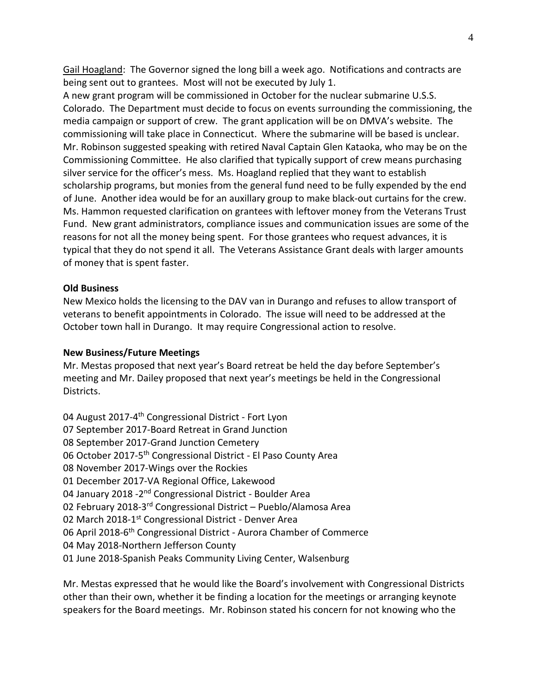Gail Hoagland: The Governor signed the long bill a week ago. Notifications and contracts are being sent out to grantees. Most will not be executed by July 1.

A new grant program will be commissioned in October for the nuclear submarine U.S.S. Colorado. The Department must decide to focus on events surrounding the commissioning, the media campaign or support of crew. The grant application will be on DMVA's website. The commissioning will take place in Connecticut. Where the submarine will be based is unclear. Mr. Robinson suggested speaking with retired Naval Captain Glen Kataoka, who may be on the Commissioning Committee. He also clarified that typically support of crew means purchasing silver service for the officer's mess. Ms. Hoagland replied that they want to establish scholarship programs, but monies from the general fund need to be fully expended by the end of June. Another idea would be for an auxillary group to make black-out curtains for the crew. Ms. Hammon requested clarification on grantees with leftover money from the Veterans Trust Fund. New grant administrators, compliance issues and communication issues are some of the reasons for not all the money being spent. For those grantees who request advances, it is typical that they do not spend it all. The Veterans Assistance Grant deals with larger amounts of money that is spent faster.

# **Old Business**

New Mexico holds the licensing to the DAV van in Durango and refuses to allow transport of veterans to benefit appointments in Colorado. The issue will need to be addressed at the October town hall in Durango. It may require Congressional action to resolve.

# **New Business/Future Meetings**

Mr. Mestas proposed that next year's Board retreat be held the day before September's meeting and Mr. Dailey proposed that next year's meetings be held in the Congressional Districts.

04 August 2017-4<sup>th</sup> Congressional District - Fort Lyon 07 September 2017-Board Retreat in Grand Junction 08 September 2017-Grand Junction Cemetery 06 October 2017-5th Congressional District - El Paso County Area 08 November 2017-Wings over the Rockies 01 December 2017-VA Regional Office, Lakewood 04 January 2018 - 2<sup>nd</sup> Congressional District - Boulder Area 02 February 2018-3rd Congressional District – Pueblo/Alamosa Area 02 March 2018-1<sup>st</sup> Congressional District - Denver Area 06 April 2018-6<sup>th</sup> Congressional District - Aurora Chamber of Commerce 04 May 2018-Northern Jefferson County 01 June 2018-Spanish Peaks Community Living Center, Walsenburg

Mr. Mestas expressed that he would like the Board's involvement with Congressional Districts other than their own, whether it be finding a location for the meetings or arranging keynote speakers for the Board meetings. Mr. Robinson stated his concern for not knowing who the